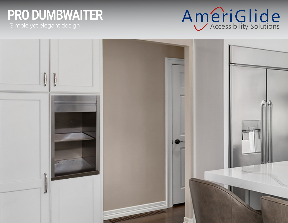# **PRO DUMBWAITER**



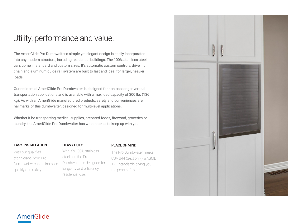## Utility, performance and value.

The AmeriGlide Pro Dumbwaiter's simple yet elegant design is easily incorporated into any modern structure, including residential buildings. The 100% stainless steel cars come in standard and custom sizes. It's automatic custom controls, drive lift chain and aluminum guide rail system are built to last and ideal for larger, heavier loads.

Our residential AmeriGlide Pro Dumbwaiter is designed for non-passenger vertical transportation applications and is available with a max load capacity of 300 lbs (136 kg). As with all AmeriGlide manufactured products, safety and conveniences are hallmarks of this dumbwaiter, designed for multi-level applications.

Whether it be transporting medical supplies, prepared foods, firewood, groceries or laundry, the AmeriGlide Pro Dumbwaiter has what it takes to keep up with you.

#### EASY INSTALLATION

With our qualified technicians, your Pro Dumbwaiter can be installed quickly and safely.

#### HEAVY DUTY

#### PEACE OF MIND

With it's 100% stainless steel car, the Pro Dumbwaiter is designed for longevity and efficiency in residential use.

The Pro Dumbwater meets CSA B44 (Section 7) & ASME 17.1 standards giving you the peace of mind!



## AmeriGlide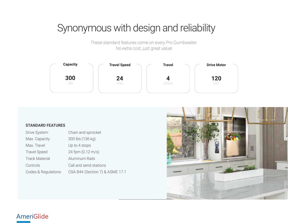## Synonymous with design and reliability

These standard features come on every Pro Dumbwaiter. No extra cost, just great value!



#### STANDARD FEATURES

| <b>Drive System</b>   | Chain and sprocket              |
|-----------------------|---------------------------------|
| Max. Capacity         | 300 lbs (136 kg)                |
| Max. Travel           | Up to 4 stops                   |
| <b>Travel Speed</b>   | 24 fpm (0.12 m/s)               |
| <b>Track Material</b> | Aluminum Rails                  |
| Controls              | Call and send stations          |
| Codes & Regulations   | CSA B44 (Section 7) & ASME 17.1 |



### AmeriGlide